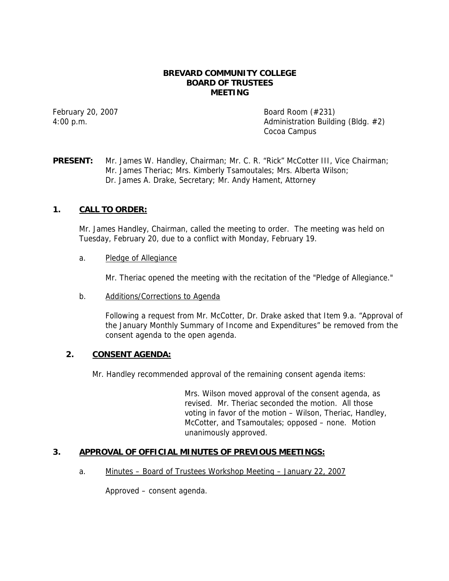#### **BREVARD COMMUNITY COLLEGE BOARD OF TRUSTEES MEETING**

February 20, 2007 **Board Room** (#231) 4:00 p.m. Administration Building (Bldg. #2) Cocoa Campus

# **PRESENT:** Mr. James W. Handley, Chairman; Mr. C. R. "Rick" McCotter III, Vice Chairman; Mr. James Theriac; Mrs. Kimberly Tsamoutales; Mrs. Alberta Wilson; Dr. James A. Drake, Secretary; Mr. Andy Hament, Attorney

# **1. CALL TO ORDER:**

Mr. James Handley, Chairman, called the meeting to order. The meeting was held on Tuesday, February 20, due to a conflict with Monday, February 19.

a. Pledge of Allegiance

Mr. Theriac opened the meeting with the recitation of the "Pledge of Allegiance."

b. Additions/Corrections to Agenda

Following a request from Mr. McCotter, Dr. Drake asked that Item 9.a. "Approval of the January Monthly Summary of Income and Expenditures" be removed from the consent agenda to the open agenda.

## **2. CONSENT AGENDA:**

Mr. Handley recommended approval of the remaining consent agenda items:

Mrs. Wilson moved approval of the consent agenda, as revised. Mr. Theriac seconded the motion. All those voting in favor of the motion – Wilson, Theriac, Handley, McCotter, and Tsamoutales; opposed – none. Motion unanimously approved.

## **3. APPROVAL OF OFFICIAL MINUTES OF PREVIOUS MEETINGS:**

a. Minutes – Board of Trustees Workshop Meeting – January 22, 2007

Approved – consent agenda.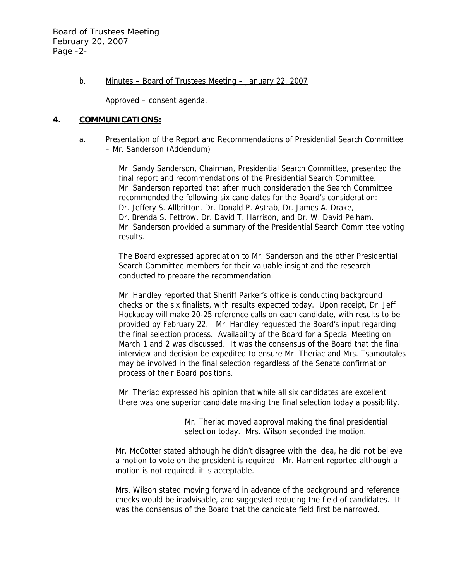#### b. Minutes – Board of Trustees Meeting – January 22, 2007

Approved – consent agenda.

#### **4. COMMUNICATIONS:**

#### a. Presentation of the Report and Recommendations of Presidential Search Committee – Mr. Sanderson (Addendum)

Mr. Sandy Sanderson, Chairman, Presidential Search Committee, presented the final report and recommendations of the Presidential Search Committee. Mr. Sanderson reported that after much consideration the Search Committee recommended the following six candidates for the Board's consideration: Dr. Jeffery S. Allbritton, Dr. Donald P. Astrab, Dr. James A. Drake, Dr. Brenda S. Fettrow, Dr. David T. Harrison, and Dr. W. David Pelham. Mr. Sanderson provided a summary of the Presidential Search Committee voting results.

The Board expressed appreciation to Mr. Sanderson and the other Presidential Search Committee members for their valuable insight and the research conducted to prepare the recommendation.

Mr. Handley reported that Sheriff Parker's office is conducting background checks on the six finalists, with results expected today. Upon receipt, Dr. Jeff Hockaday will make 20-25 reference calls on each candidate, with results to be provided by February 22. Mr. Handley requested the Board's input regarding the final selection process. Availability of the Board for a Special Meeting on March 1 and 2 was discussed. It was the consensus of the Board that the final interview and decision be expedited to ensure Mr. Theriac and Mrs. Tsamoutales may be involved in the final selection regardless of the Senate confirmation process of their Board positions.

Mr. Theriac expressed his opinion that while all six candidates are excellent there was one superior candidate making the final selection today a possibility.

> Mr. Theriac moved approval making the final presidential selection today. Mrs. Wilson seconded the motion.

Mr. McCotter stated although he didn't disagree with the idea, he did not believe a motion to vote on the president is required. Mr. Hament reported although a motion is not required, it is acceptable.

Mrs. Wilson stated moving forward in advance of the background and reference checks would be inadvisable, and suggested reducing the field of candidates. It was the consensus of the Board that the candidate field first be narrowed.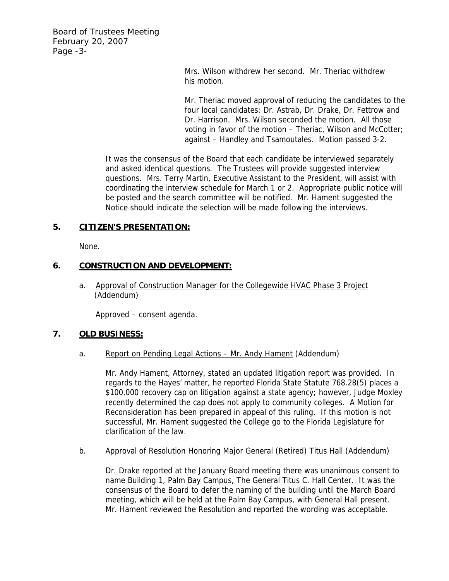Board of Trustees Meeting February 20, 2007 Page -3-

> Mrs. Wilson withdrew her second. Mr. Theriac withdrew his motion.

Mr. Theriac moved approval of reducing the candidates to the four local candidates: Dr. Astrab, Dr. Drake, Dr. Fettrow and Dr. Harrison. Mrs. Wilson seconded the motion. All those voting in favor of the motion – Theriac, Wilson and McCotter; against – Handley and Tsamoutales. Motion passed 3-2.

It was the consensus of the Board that each candidate be interviewed separately and asked identical questions. The Trustees will provide suggested interview questions. Mrs. Terry Martin, Executive Assistant to the President, will assist with coordinating the interview schedule for March 1 or 2. Appropriate public notice will be posted and the search committee will be notified. Mr. Hament suggested the Notice should indicate the selection will be made following the interviews.

## **5. CITIZEN'S PRESENTATION:**

None.

# **6. CONSTRUCTION AND DEVELOPMENT:**

a. Approval of Construction Manager for the Collegewide HVAC Phase 3 Project (Addendum)

Approved – consent agenda.

## **7. OLD BUSINESS:**

## a. Report on Pending Legal Actions – Mr. Andy Hament (Addendum)

Mr. Andy Hament, Attorney, stated an updated litigation report was provided. In regards to the Hayes' matter, he reported Florida State Statute 768.28(5) places a \$100,000 recovery cap on litigation against a state agency; however, Judge Moxley recently determined the cap does not apply to community colleges. A Motion for Reconsideration has been prepared in appeal of this ruling. If this motion is not successful, Mr. Hament suggested the College go to the Florida Legislature for clarification of the law.

## b. Approval of Resolution Honoring Major General (Retired) Titus Hall (Addendum)

Dr. Drake reported at the January Board meeting there was unanimous consent to name Building 1, Palm Bay Campus, The General Titus C. Hall Center. It was the consensus of the Board to defer the naming of the building until the March Board meeting, which will be held at the Palm Bay Campus, with General Hall present. Mr. Hament reviewed the Resolution and reported the wording was acceptable.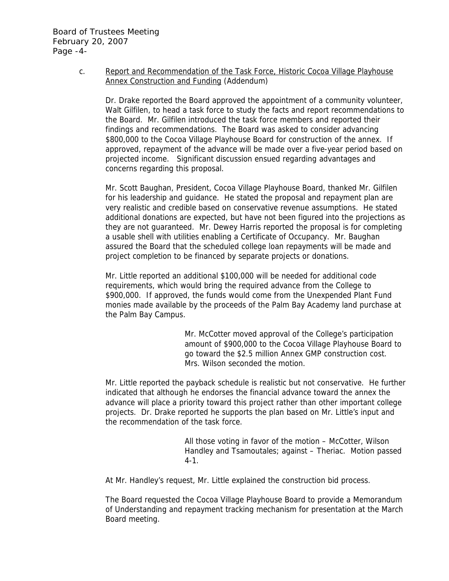c. Report and Recommendation of the Task Force, Historic Cocoa Village Playhouse Annex Construction and Funding (Addendum)

Dr. Drake reported the Board approved the appointment of a community volunteer, Walt Gilfilen, to head a task force to study the facts and report recommendations to the Board. Mr. Gilfilen introduced the task force members and reported their findings and recommendations. The Board was asked to consider advancing \$800,000 to the Cocoa Village Playhouse Board for construction of the annex. If approved, repayment of the advance will be made over a five-year period based on projected income. Significant discussion ensued regarding advantages and concerns regarding this proposal.

Mr. Scott Baughan, President, Cocoa Village Playhouse Board, thanked Mr. Gilfilen for his leadership and guidance. He stated the proposal and repayment plan are very realistic and credible based on conservative revenue assumptions. He stated additional donations are expected, but have not been figured into the projections as they are not guaranteed. Mr. Dewey Harris reported the proposal is for completing a usable shell with utilities enabling a Certificate of Occupancy. Mr. Baughan assured the Board that the scheduled college loan repayments will be made and project completion to be financed by separate projects or donations.

Mr. Little reported an additional \$100,000 will be needed for additional code requirements, which would bring the required advance from the College to \$900,000. If approved, the funds would come from the Unexpended Plant Fund monies made available by the proceeds of the Palm Bay Academy land purchase at the Palm Bay Campus.

> Mr. McCotter moved approval of the College's participation amount of \$900,000 to the Cocoa Village Playhouse Board to go toward the \$2.5 million Annex GMP construction cost. Mrs. Wilson seconded the motion.

Mr. Little reported the payback schedule is realistic but not conservative. He further indicated that although he endorses the financial advance toward the annex the advance will place a priority toward this project rather than other important college projects. Dr. Drake reported he supports the plan based on Mr. Little's input and the recommendation of the task force.

> All those voting in favor of the motion – McCotter, Wilson Handley and Tsamoutales; against – Theriac. Motion passed 4-1.

At Mr. Handley's request, Mr. Little explained the construction bid process.

The Board requested the Cocoa Village Playhouse Board to provide a Memorandum of Understanding and repayment tracking mechanism for presentation at the March Board meeting.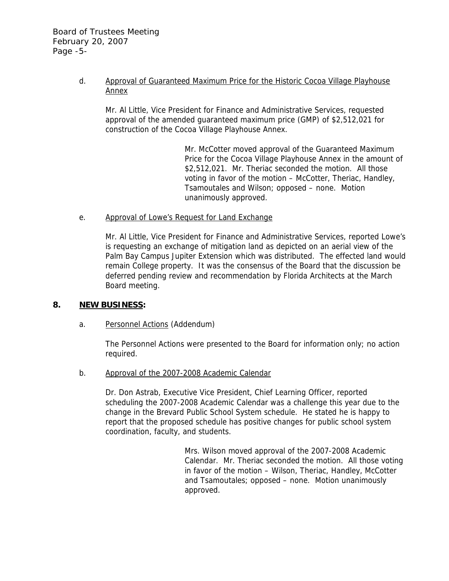## d. Approval of Guaranteed Maximum Price for the Historic Cocoa Village Playhouse Annex

Mr. Al Little, Vice President for Finance and Administrative Services, requested approval of the amended guaranteed maximum price (GMP) of \$2,512,021 for construction of the Cocoa Village Playhouse Annex.

> Mr. McCotter moved approval of the Guaranteed Maximum Price for the Cocoa Village Playhouse Annex in the amount of \$2,512,021. Mr. Theriac seconded the motion. All those voting in favor of the motion – McCotter, Theriac, Handley, Tsamoutales and Wilson; opposed – none. Motion unanimously approved.

## e. Approval of Lowe's Request for Land Exchange

Mr. Al Little, Vice President for Finance and Administrative Services, reported Lowe's is requesting an exchange of mitigation land as depicted on an aerial view of the Palm Bay Campus Jupiter Extension which was distributed. The effected land would remain College property. It was the consensus of the Board that the discussion be deferred pending review and recommendation by Florida Architects at the March Board meeting.

## **8. NEW BUSINESS:**

## a. Personnel Actions (Addendum)

The Personnel Actions were presented to the Board for information only; no action required.

#### b. Approval of the 2007-2008 Academic Calendar

Dr. Don Astrab, Executive Vice President, Chief Learning Officer, reported scheduling the 2007-2008 Academic Calendar was a challenge this year due to the change in the Brevard Public School System schedule. He stated he is happy to report that the proposed schedule has positive changes for public school system coordination, faculty, and students.

> Mrs. Wilson moved approval of the 2007-2008 Academic Calendar. Mr. Theriac seconded the motion. All those voting in favor of the motion – Wilson, Theriac, Handley, McCotter and Tsamoutales; opposed – none. Motion unanimously approved.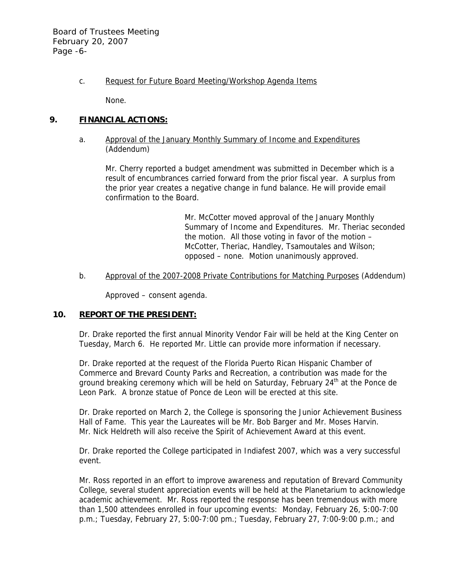Board of Trustees Meeting February 20, 2007 Page -6-

c. Request for Future Board Meeting/Workshop Agenda Items

None.

## **9. FINANCIAL ACTIONS:**

## a. Approval of the January Monthly Summary of Income and Expenditures (Addendum)

Mr. Cherry reported a budget amendment was submitted in December which is a result of encumbrances carried forward from the prior fiscal year. A surplus from the prior year creates a negative change in fund balance. He will provide email confirmation to the Board.

> Mr. McCotter moved approval of the January Monthly Summary of Income and Expenditures. Mr. Theriac seconded the motion. All those voting in favor of the motion – McCotter, Theriac, Handley, Tsamoutales and Wilson; opposed – none. Motion unanimously approved.

#### b. Approval of the 2007-2008 Private Contributions for Matching Purposes (Addendum)

Approved – consent agenda.

# **10. REPORT OF THE PRESIDENT:**

Dr. Drake reported the first annual Minority Vendor Fair will be held at the King Center on Tuesday, March 6. He reported Mr. Little can provide more information if necessary.

Dr. Drake reported at the request of the Florida Puerto Rican Hispanic Chamber of Commerce and Brevard County Parks and Recreation, a contribution was made for the ground breaking ceremony which will be held on Saturday, February  $24<sup>th</sup>$  at the Ponce de Leon Park. A bronze statue of Ponce de Leon will be erected at this site.

Dr. Drake reported on March 2, the College is sponsoring the Junior Achievement Business Hall of Fame. This year the Laureates will be Mr. Bob Barger and Mr. Moses Harvin. Mr. Nick Heldreth will also receive the Spirit of Achievement Award at this event.

Dr. Drake reported the College participated in Indiafest 2007, which was a very successful event.

Mr. Ross reported in an effort to improve awareness and reputation of Brevard Community College, several student appreciation events will be held at the Planetarium to acknowledge academic achievement. Mr. Ross reported the response has been tremendous with more than 1,500 attendees enrolled in four upcoming events: Monday, February 26, 5:00-7:00 p.m.; Tuesday, February 27, 5:00-7:00 pm.; Tuesday, February 27, 7:00-9:00 p.m.; and